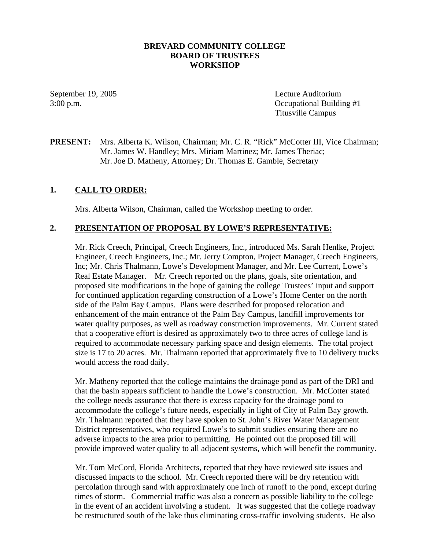#### **BREVARD COMMUNITY COLLEGE BOARD OF TRUSTEES WORKSHOP**

September 19, 2005 Lecture Auditorium 3:00 p.m. Occupational Building #1 Titusville Campus

### **PRESENT:** Mrs. Alberta K. Wilson, Chairman; Mr. C. R. "Rick" McCotter III, Vice Chairman; Mr. James W. Handley; Mrs. Miriam Martinez; Mr. James Theriac; Mr. Joe D. Matheny, Attorney; Dr. Thomas E. Gamble, Secretary

#### **1. CALL TO ORDER:**

Mrs. Alberta Wilson, Chairman, called the Workshop meeting to order.

#### **2. PRESENTATION OF PROPOSAL BY LOWE'S REPRESENTATIVE:**

Mr. Rick Creech, Principal, Creech Engineers, Inc., introduced Ms. Sarah Henlke, Project Engineer, Creech Engineers, Inc.; Mr. Jerry Compton, Project Manager, Creech Engineers, Inc; Mr. Chris Thalmann, Lowe's Development Manager, and Mr. Lee Current, Lowe's Real Estate Manager. Mr. Creech reported on the plans, goals, site orientation, and proposed site modifications in the hope of gaining the college Trustees' input and support for continued application regarding construction of a Lowe's Home Center on the north side of the Palm Bay Campus. Plans were described for proposed relocation and enhancement of the main entrance of the Palm Bay Campus, landfill improvements for water quality purposes, as well as roadway construction improvements. Mr. Current stated that a cooperative effort is desired as approximately two to three acres of college land is required to accommodate necessary parking space and design elements. The total project size is 17 to 20 acres. Mr. Thalmann reported that approximately five to 10 delivery trucks would access the road daily.

Mr. Matheny reported that the college maintains the drainage pond as part of the DRI and that the basin appears sufficient to handle the Lowe's construction. Mr. McCotter stated the college needs assurance that there is excess capacity for the drainage pond to accommodate the college's future needs, especially in light of City of Palm Bay growth. Mr. Thalmann reported that they have spoken to St. John's River Water Management District representatives, who required Lowe's to submit studies ensuring there are no adverse impacts to the area prior to permitting. He pointed out the proposed fill will provide improved water quality to all adjacent systems, which will benefit the community.

Mr. Tom McCord, Florida Architects, reported that they have reviewed site issues and discussed impacts to the school. Mr. Creech reported there will be dry retention with percolation through sand with approximately one inch of runoff to the pond, except during times of storm. Commercial traffic was also a concern as possible liability to the college in the event of an accident involving a student. It was suggested that the college roadway be restructured south of the lake thus eliminating cross-traffic involving students. He also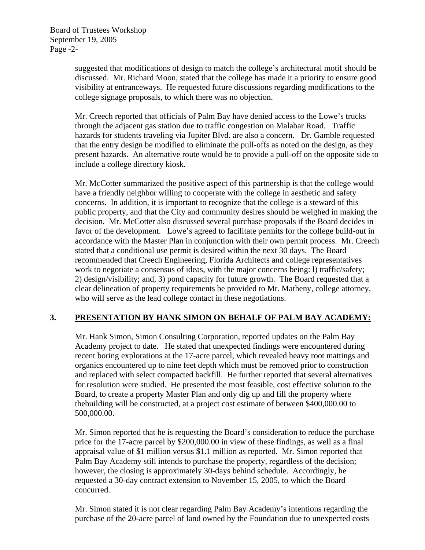suggested that modifications of design to match the college's architectural motif should be discussed. Mr. Richard Moon, stated that the college has made it a priority to ensure good visibility at entranceways. He requested future discussions regarding modifications to the college signage proposals, to which there was no objection.

Mr. Creech reported that officials of Palm Bay have denied access to the Lowe's trucks through the adjacent gas station due to traffic congestion on Malabar Road. Traffic hazards for students traveling via Jupiter Blvd. are also a concern. Dr. Gamble requested that the entry design be modified to eliminate the pull-offs as noted on the design, as they present hazards. An alternative route would be to provide a pull-off on the opposite side to include a college directory kiosk.

Mr. McCotter summarized the positive aspect of this partnership is that the college would have a friendly neighbor willing to cooperate with the college in aesthetic and safety concerns. In addition, it is important to recognize that the college is a steward of this public property, and that the City and community desires should be weighed in making the decision. Mr. McCotter also discussed several purchase proposals if the Board decides in favor of the development. Lowe's agreed to facilitate permits for the college build-out in accordance with the Master Plan in conjunction with their own permit process. Mr. Creech stated that a conditional use permit is desired within the next 30 days. The Board recommended that Creech Engineering, Florida Architects and college representatives work to negotiate a consensus of ideas, with the major concerns being: l) traffic/safety; 2) design/visibility; and, 3) pond capacity for future growth. The Board requested that a clear delineation of property requirements be provided to Mr. Matheny, college attorney, who will serve as the lead college contact in these negotiations.

# **3. PRESENTATION BY HANK SIMON ON BEHALF OF PALM BAY ACADEMY:**

Mr. Hank Simon, Simon Consulting Corporation, reported updates on the Palm Bay Academy project to date. He stated that unexpected findings were encountered during recent boring explorations at the 17-acre parcel, which revealed heavy root mattings and organics encountered up to nine feet depth which must be removed prior to construction and replaced with select compacted backfill. He further reported that several alternatives for resolution were studied. He presented the most feasible, cost effective solution to the Board, to create a property Master Plan and only dig up and fill the property where thebuilding will be constructed, at a project cost estimate of between \$400,000.00 to 500,000.00.

Mr. Simon reported that he is requesting the Board's consideration to reduce the purchase price for the 17-acre parcel by \$200,000.00 in view of these findings, as well as a final appraisal value of \$1 million versus \$1.1 million as reported. Mr. Simon reported that Palm Bay Academy still intends to purchase the property, regardless of the decision; however, the closing is approximately 30-days behind schedule. Accordingly, he requested a 30-day contract extension to November 15, 2005, to which the Board concurred.

Mr. Simon stated it is not clear regarding Palm Bay Academy's intentions regarding the purchase of the 20-acre parcel of land owned by the Foundation due to unexpected costs